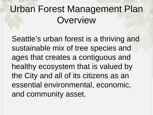## Urban Forest Management Plan **Overview**

Seattle's urban forest is a thriving and sustainable mix of tree species and ages that creates a contiguous and healthy ecosystem that is valued by the City and all of its citizens as an essential environmental, economic, and community asset.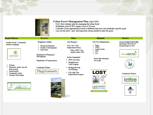

#### **Urban Forest Management Plan (April 2007)**

- City's first strategic plan for managing the urban forest
- Establishes goal of 30% canopy cover in 30 years
- Considers issues/opportunities based on different land uses and establishes specific goals
- Lays out the short-, mid- and long-term actions needed to meet the goals

#### **Inspire/Inform Preserve Plant Maintain Restore Regulatory Update City Property Green Seattle Partnership City Tree Maintenance** Seattle reLeaf - Community Restoring 2500 acres of outreach campaign  $\checkmark$  Parks City 2 for 1 Tree  $\checkmark$  During development forested lands by 2025 SDOT Replacement Policy-✓  $\checkmark$  Outside of development ✓ **Seattle Center**



- Website
- Brochures, poster, bus ads, ✓ radio promos,
- Earned media ✓
- ✓ **Community events**
- **Strategic Partnerships** ✓











**Community Partners** 





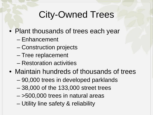## City-Owned Trees

- Plant thousands of trees each year
	- Enhancement
	- Construction projects
	- Tree replacement
	- Restoration activities
- Maintain hundreds of thousands of trees
	- 90,000 trees in developed parklands
	- 38,000 of the 133,000 street trees
	- >500,000 trees in natural areas
	- Utility line safety & reliability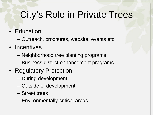## City's Role in Private Trees

- Education
	- Outreach, brochures, website, events etc.
- Incentives
	- Neighborhood tree planting programs
	- Business district enhancement programs
- Regulatory Protection
	- During development
	- Outside of development
	- Street trees
	- Environmentally critical areas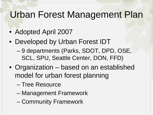#### Urban Forest Management Plan

- Adopted April 2007
- Developed by Urban Forest IDT
	- 9 departments (Parks, SDOT, DPD, OSE, SCL, SPU, Seattle Center, DON, FFD)
- Organization based on an established model for urban forest planning
	- Tree Resource
	- Management Framework
	- Community Framework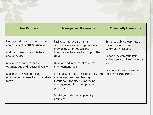| <b>Tree Resource</b>                                                                                                            | <b>Management Framework</b>                                                                                                                               | <b>Community Framework</b>                                                                            |  |  |  |  |  |
|---------------------------------------------------------------------------------------------------------------------------------|-----------------------------------------------------------------------------------------------------------------------------------------------------------|-------------------------------------------------------------------------------------------------------|--|--|--|--|--|
| Understand the characteristics and<br>complexity of Seattle's urban forest<br>Maintain trees to promote health<br>and longevity | Facilitate interdepartmental<br>communication and cooperation to<br>provide decision-makers the<br>information they need to support the<br><b>UFMP</b>    | Enhance public awareness of<br>the urban forest as a<br>community resource<br>Engage the community in |  |  |  |  |  |
| Maximize canopy cover and<br>optimize age and species diversity                                                                 | Develop and implement resource<br>management tools                                                                                                        | active stewardship of the urban<br>forest<br>Promote citizen-government-                              |  |  |  |  |  |
| Maximize the ecological and<br>environmental benefits of the urban<br>forest                                                    | Preserve and protect existing trees, and<br>encourage new tree planting<br>throughout the city by improving<br>management of trees on private<br>property | business partnerships                                                                                 |  |  |  |  |  |
|                                                                                                                                 | Model good stewardship in City<br>practices                                                                                                               |                                                                                                       |  |  |  |  |  |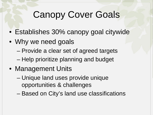## Canopy Cover Goals

- Establishes 30% canopy goal citywide
- Why we need goals
	- Provide a clear set of agreed targets
	- Help prioritize planning and budget
- Management Units
	- Unique land uses provide unique opportunities & challenges
	- Based on City's land use classifications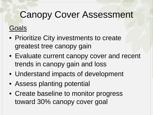#### **Goals**

- Prioritize City investments to create greatest tree canopy gain
- Evaluate current canopy cover and recent trends in canopy gain and loss
- Understand impacts of development
- Assess planting potential
- Create baseline to monitor progress toward 30% canopy cover goal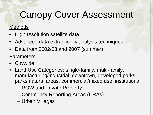#### **Methods**

- High resolution satellite data
- Advanced data extraction & analysis techniques
- Data from 2002/03 and 2007 (summer)

#### **Parameters**

- **Citywide**
- Land Use Categories: single-family, multi-family, manufacturing/industrial, downtown, developed parks, parks natural areas, commercial/mixed use, institutional
	- ROW and Private Property
	- Community Reporting Areas (CRAs)
	- Urban Villages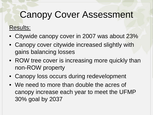#### Results:

- Citywide canopy cover in 2007 was about 23%
- Canopy cover citywide increased slightly with gains balancing losses
- ROW tree cover is increasing more quickly than non-ROW property
- Canopy loss occurs during redevelopment
- We need to more than double the acres of canopy increase each year to meet the UFMP 30% goal by 2037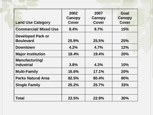| <b>Land Use Category</b>                     | 2002<br><b>Canopy</b><br>Cover | 2007<br>Canopy<br><b>Cover</b> | Goal<br><b>Canopy</b><br><b>Cover</b> |
|----------------------------------------------|--------------------------------|--------------------------------|---------------------------------------|
| <b>Commercial/ Mixed Use</b>                 | 8.4%                           | 9.7%                           | 15%                                   |
| <b>Developed Park or</b><br><b>Boulevard</b> | 25.9%                          | 25.5%                          | 25%                                   |
| <b>Downtown</b>                              | $4.2\%$                        | 4.7%                           | 12%                                   |
| <b>Major Institution</b>                     | 18.4%                          | 19.4%                          | 20%                                   |
| Manufacturing/<br><b>Industrial</b>          | 3.8%                           | 4.3%                           | 10%                                   |
| <b>Multi-Family</b>                          | 16.6%                          | 17.1%                          | 20%                                   |
| <b>Parks Natural Area</b>                    | 82.5%                          | 80.4%                          | 80%                                   |
| <b>Single Family</b>                         | 25.2%                          | 25.7%                          | 33%                                   |
|                                              |                                |                                |                                       |
| <b>Total</b>                                 | 22.5%                          | 22.9%                          | 30%                                   |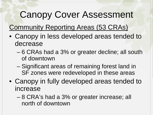**Community Reporting Areas (53 CRAs)** 

- Canopy in less developed areas tended to decrease
	- 6 CRAs had a 3% or greater decline; all south of downtown
	- Significant areas of remaining forest land in SF zones were redeveloped in these areas
- Canopy in fully developed areas tended to increase
	- 8 CRA's had a 3% or greater increase; all north of downtown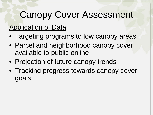#### Application of Data

- Targeting programs to low canopy areas
- Parcel and neighborhood canopy cover available to public online
- Projection of future canopy trends
- Tracking progress towards canopy cover goals